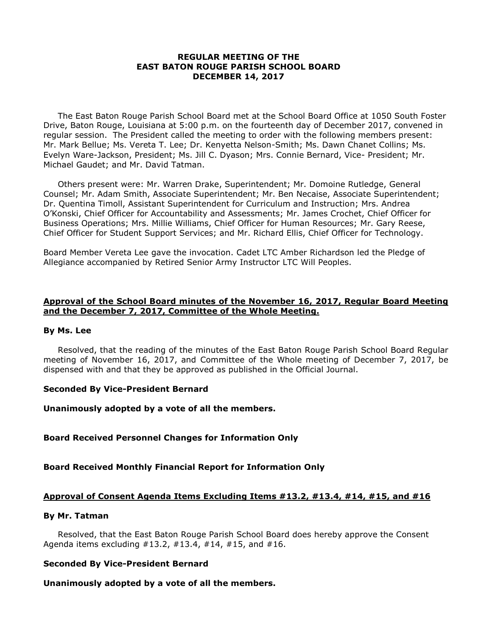### **REGULAR MEETING OF THE EAST BATON ROUGE PARISH SCHOOL BOARD DECEMBER 14, 2017**

The East Baton Rouge Parish School Board met at the School Board Office at 1050 South Foster Drive, Baton Rouge, Louisiana at 5:00 p.m. on the fourteenth day of December 2017, convened in regular session. The President called the meeting to order with the following members present: Mr. Mark Bellue; Ms. Vereta T. Lee; Dr. Kenyetta Nelson-Smith; Ms. Dawn Chanet Collins; Ms. Evelyn Ware-Jackson, President; Ms. Jill C. Dyason; Mrs. Connie Bernard, Vice- President; Mr. Michael Gaudet; and Mr. David Tatman.

Others present were: Mr. Warren Drake, Superintendent; Mr. Domoine Rutledge, General Counsel; Mr. Adam Smith, Associate Superintendent; Mr. Ben Necaise, Associate Superintendent; Dr. Quentina Timoll, Assistant Superintendent for Curriculum and Instruction; Mrs. Andrea O'Konski, Chief Officer for Accountability and Assessments; Mr. James Crochet, Chief Officer for Business Operations; Mrs. Millie Williams, Chief Officer for Human Resources; Mr. Gary Reese, Chief Officer for Student Support Services; and Mr. Richard Ellis, Chief Officer for Technology.

Board Member Vereta Lee gave the invocation. Cadet LTC Amber Richardson led the Pledge of Allegiance accompanied by Retired Senior Army Instructor LTC Will Peoples.

## **Approval of the School Board minutes of the November 16, 2017, Regular Board Meeting and the December 7, 2017, Committee of the Whole Meeting.**

### **By Ms. Lee**

Resolved, that the reading of the minutes of the East Baton Rouge Parish School Board Regular meeting of November 16, 2017, and Committee of the Whole meeting of December 7, 2017, be dispensed with and that they be approved as published in the Official Journal.

## **Seconded By Vice-President Bernard**

**Unanimously adopted by a vote of all the members.**

## **Board Received Personnel Changes for Information Only**

## **Board Received Monthly Financial Report for Information Only**

## **Approval of Consent Agenda Items Excluding Items #13.2, #13.4, #14, #15, and #16**

### **By Mr. Tatman**

Resolved, that the East Baton Rouge Parish School Board does hereby approve the Consent Agenda items excluding  $\#13.2, \#13.4, \#14, \#15$ , and  $\#16$ .

## **Seconded By Vice-President Bernard**

## **Unanimously adopted by a vote of all the members.**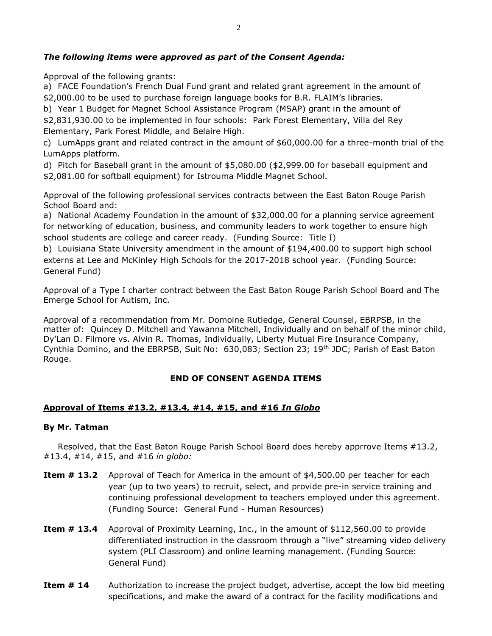# *The following items were approved as part of the Consent Agenda:*

Approval of the following grants:

a) FACE Foundation's French Dual Fund grant and related grant agreement in the amount of \$2,000.00 to be used to purchase foreign language books for B.R. FLAIM's libraries.

b) Year 1 Budget for Magnet School Assistance Program (MSAP) grant in the amount of \$2,831,930.00 to be implemented in four schools: Park Forest Elementary, Villa del Rey Elementary, Park Forest Middle, and Belaire High.

c) LumApps grant and related contract in the amount of \$60,000.00 for a three-month trial of the LumApps platform.

d) Pitch for Baseball grant in the amount of \$5,080.00 (\$2,999.00 for baseball equipment and \$2,081.00 for softball equipment) for Istrouma Middle Magnet School.

Approval of the following professional services contracts between the East Baton Rouge Parish School Board and:

a) National Academy Foundation in the amount of \$32,000.00 for a planning service agreement for networking of education, business, and community leaders to work together to ensure high school students are college and career ready. (Funding Source: Title I)

b) Louisiana State University amendment in the amount of \$194,400.00 to support high school externs at Lee and McKinley High Schools for the 2017-2018 school year. (Funding Source: General Fund)

Approval of a Type I charter contract between the East Baton Rouge Parish School Board and The Emerge School for Autism, Inc.

Approval of a recommendation from Mr. Domoine Rutledge, General Counsel, EBRPSB, in the matter of: Quincey D. Mitchell and Yawanna Mitchell, Individually and on behalf of the minor child, Dy'Lan D. Filmore vs. Alvin R. Thomas, Individually, Liberty Mutual Fire Insurance Company, Cynthia Domino, and the EBRPSB, Suit No: 630,083; Section 23; 19<sup>th</sup> JDC; Parish of East Baton Rouge.

## **END OF CONSENT AGENDA ITEMS**

## **Approval of Items #13.2, #13.4, #14, #15, and #16** *In Globo*

### **By Mr. Tatman**

Resolved, that the East Baton Rouge Parish School Board does hereby apprrove Items #13.2, #13.4, #14, #15, and #16 *in globo:*

- **Item # 13.2** Approval of Teach for America in the amount of \$4,500.00 per teacher for each year (up to two years) to recruit, select, and provide pre-in service training and continuing professional development to teachers employed under this agreement. (Funding Source: General Fund - Human Resources)
- **Item # 13.4** Approval of Proximity Learning, Inc., in the amount of \$112,560.00 to provide differentiated instruction in the classroom through a "live" streaming video delivery system (PLI Classroom) and online learning management. (Funding Source: General Fund)
- **Item # 14** Authorization to increase the project budget, advertise, accept the low bid meeting specifications, and make the award of a contract for the facility modifications and